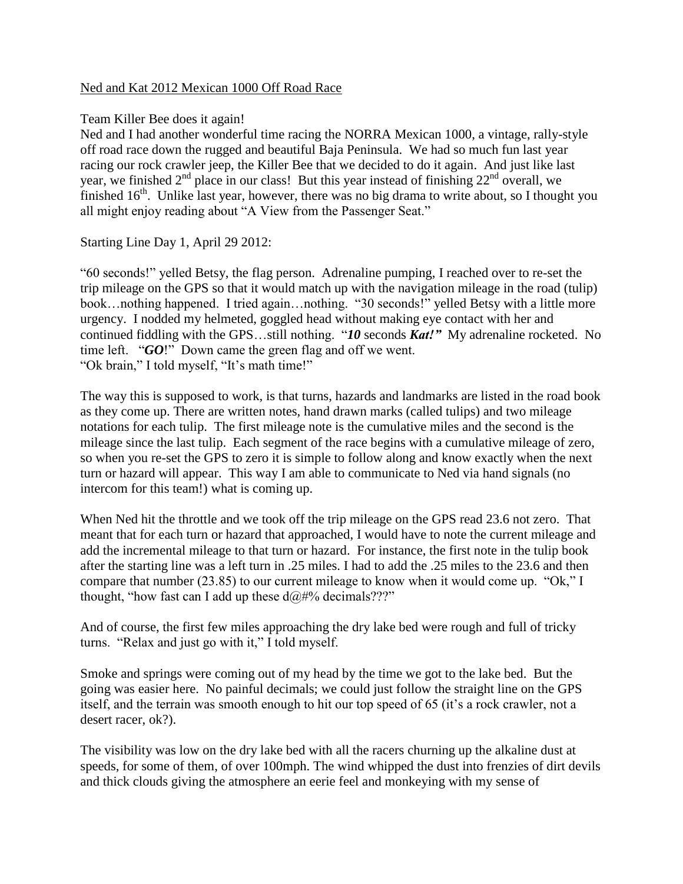## Ned and Kat 2012 Mexican 1000 Off Road Race

## Team Killer Bee does it again!

Ned and I had another wonderful time racing the NORRA Mexican 1000, a vintage, rally-style off road race down the rugged and beautiful Baja Peninsula. We had so much fun last year racing our rock crawler jeep, the Killer Bee that we decided to do it again. And just like last year, we finished  $2<sup>nd</sup>$  place in our class! But this year instead of finishing  $22<sup>nd</sup>$  overall, we finished 16<sup>th</sup>. Unlike last year, however, there was no big drama to write about, so I thought you all might enjoy reading about "A View from the Passenger Seat."

Starting Line Day 1, April 29 2012:

"60 seconds!" yelled Betsy, the flag person. Adrenaline pumping, I reached over to re-set the trip mileage on the GPS so that it would match up with the navigation mileage in the road (tulip) book…nothing happened. I tried again…nothing. "30 seconds!" yelled Betsy with a little more urgency. I nodded my helmeted, goggled head without making eye contact with her and continued fiddling with the GPS…still nothing. "*10* seconds *Kat!"* My adrenaline rocketed. No time left. "*GO*!" Down came the green flag and off we went. "Ok brain," I told myself, "It's math time!"

The way this is supposed to work, is that turns, hazards and landmarks are listed in the road book as they come up. There are written notes, hand drawn marks (called tulips) and two mileage notations for each tulip. The first mileage note is the cumulative miles and the second is the mileage since the last tulip. Each segment of the race begins with a cumulative mileage of zero, so when you re-set the GPS to zero it is simple to follow along and know exactly when the next turn or hazard will appear. This way I am able to communicate to Ned via hand signals (no intercom for this team!) what is coming up.

When Ned hit the throttle and we took off the trip mileage on the GPS read 23.6 not zero. That meant that for each turn or hazard that approached, I would have to note the current mileage and add the incremental mileage to that turn or hazard. For instance, the first note in the tulip book after the starting line was a left turn in .25 miles. I had to add the .25 miles to the 23.6 and then compare that number (23.85) to our current mileage to know when it would come up. "Ok," I thought, "how fast can I add up these  $d\omega \# \%$  decimals???"

And of course, the first few miles approaching the dry lake bed were rough and full of tricky turns. "Relax and just go with it," I told myself.

Smoke and springs were coming out of my head by the time we got to the lake bed. But the going was easier here. No painful decimals; we could just follow the straight line on the GPS itself, and the terrain was smooth enough to hit our top speed of 65 (it's a rock crawler, not a desert racer, ok?).

The visibility was low on the dry lake bed with all the racers churning up the alkaline dust at speeds, for some of them, of over 100mph. The wind whipped the dust into frenzies of dirt devils and thick clouds giving the atmosphere an eerie feel and monkeying with my sense of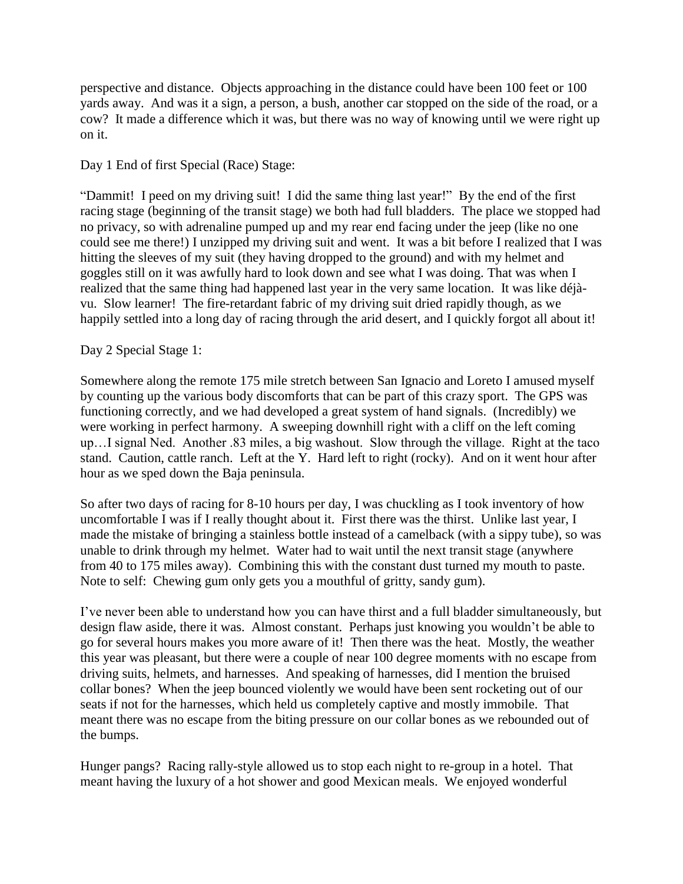perspective and distance. Objects approaching in the distance could have been 100 feet or 100 yards away. And was it a sign, a person, a bush, another car stopped on the side of the road, or a cow? It made a difference which it was, but there was no way of knowing until we were right up on it.

Day 1 End of first Special (Race) Stage:

"Dammit! I peed on my driving suit! I did the same thing last year!" By the end of the first racing stage (beginning of the transit stage) we both had full bladders. The place we stopped had no privacy, so with adrenaline pumped up and my rear end facing under the jeep (like no one could see me there!) I unzipped my driving suit and went. It was a bit before I realized that I was hitting the sleeves of my suit (they having dropped to the ground) and with my helmet and goggles still on it was awfully hard to look down and see what I was doing. That was when I realized that the same thing had happened last year in the very same location. It was like déjàvu. Slow learner! The fire-retardant fabric of my driving suit dried rapidly though, as we happily settled into a long day of racing through the arid desert, and I quickly forgot all about it!

## Day 2 Special Stage 1:

Somewhere along the remote 175 mile stretch between San Ignacio and Loreto I amused myself by counting up the various body discomforts that can be part of this crazy sport. The GPS was functioning correctly, and we had developed a great system of hand signals. (Incredibly) we were working in perfect harmony. A sweeping downhill right with a cliff on the left coming up…I signal Ned. Another .83 miles, a big washout. Slow through the village. Right at the taco stand. Caution, cattle ranch. Left at the Y. Hard left to right (rocky). And on it went hour after hour as we sped down the Baja peninsula.

So after two days of racing for 8-10 hours per day, I was chuckling as I took inventory of how uncomfortable I was if I really thought about it. First there was the thirst. Unlike last year, I made the mistake of bringing a stainless bottle instead of a camelback (with a sippy tube), so was unable to drink through my helmet. Water had to wait until the next transit stage (anywhere from 40 to 175 miles away). Combining this with the constant dust turned my mouth to paste. Note to self: Chewing gum only gets you a mouthful of gritty, sandy gum).

I've never been able to understand how you can have thirst and a full bladder simultaneously, but design flaw aside, there it was. Almost constant. Perhaps just knowing you wouldn't be able to go for several hours makes you more aware of it! Then there was the heat. Mostly, the weather this year was pleasant, but there were a couple of near 100 degree moments with no escape from driving suits, helmets, and harnesses. And speaking of harnesses, did I mention the bruised collar bones? When the jeep bounced violently we would have been sent rocketing out of our seats if not for the harnesses, which held us completely captive and mostly immobile. That meant there was no escape from the biting pressure on our collar bones as we rebounded out of the bumps.

Hunger pangs? Racing rally-style allowed us to stop each night to re-group in a hotel. That meant having the luxury of a hot shower and good Mexican meals. We enjoyed wonderful